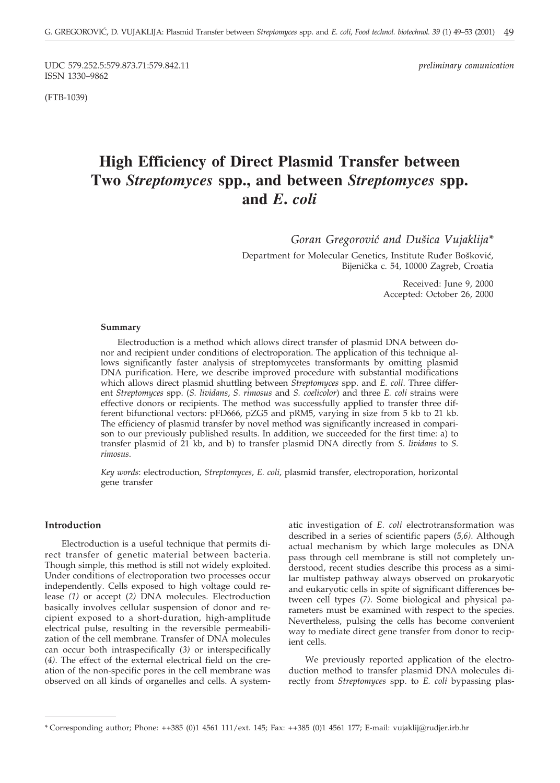UDC 579.252.5:579.873.71:579.842.11 *preliminary comunication* ISSN 1330–9862

(FTB-1039)

# **High Efficiency of Direct Plasmid Transfer between Two** *Streptomyces* **spp., and between** *Streptomyces* **spp. and** *E***.** *coli*

Goran Gregorović and Dušica Vujaklija\*

Department for Molecular Genetics, Institute Ruđer Bošković, Bijenička c. 54, 10000 Zagreb, Croatia

> Received: June 9, 2000 Accepted: October 26, 2000

#### **Summary**

Electroduction is a method which allows direct transfer of plasmid DNA between donor and recipient under conditions of electroporation. The application of this technique allows significantly faster analysis of streptomycetes transformants by omitting plasmid DNA purification. Here, we describe improved procedure with substantial modifications which allows direct plasmid shuttling between *Streptomyces* spp. and *E. coli*. Three different *Streptomyces* spp. (*S. lividans*, *S. rimosus* and *S. coelicolor*) and three *E. coli* strains were effective donors or recipients. The method was successfully applied to transfer three different bifunctional vectors: pFD666, pZG5 and pRM5, varying in size from 5 kb to 21 kb. The efficiency of plasmid transfer by novel method was significantly increased in comparison to our previously published results. In addition, we succeeded for the first time: a) to transfer plasmid of 21 kb, and b) to transfer plasmid DNA directly from *S. lividans* to *S. rimosus*.

*Key words*: electroduction*, Streptomyces, E. coli,* plasmid transfer, electroporation, horizontal gene transfer

### **Introduction**

Electroduction is a useful technique that permits direct transfer of genetic material between bacteria. Though simple, this method is still not widely exploited. Under conditions of electroporation two processes occur independently. Cells exposed to high voltage could release *(1)* or accept (*2)* DNA molecules. Electroduction basically involves cellular suspension of donor and recipient exposed to a short-duration, high-amplitude electrical pulse, resulting in the reversible permeabilization of the cell membrane. Transfer of DNA molecules can occur both intraspecifically (*3)* or interspecifically (*4)*. The effect of the external electrical field on the creation of the non-specific pores in the cell membrane was observed on all kinds of organelles and cells. A systematic investigation of *E. coli* electrotransformation was described in a series of scientific papers (*5,6)*. Although actual mechanism by which large molecules as DNA pass through cell membrane is still not completely understood, recent studies describe this process as a similar multistep pathway always observed on prokaryotic and eukaryotic cells in spite of significant differences between cell types (*7)*. Some biological and physical parameters must be examined with respect to the species. Nevertheless, pulsing the cells has become convenient way to mediate direct gene transfer from donor to recipient cells.

We previously reported application of the electroduction method to transfer plasmid DNA molecules directly from *Streptomyces* spp. to *E. coli* bypassing plas-

<sup>\*</sup> Corresponding author; Phone: ++385 (0)1 4561 111/ext. 145; Fax: ++385 (0)1 4561 177; E-mail: vujaklij*@*rudjer.irb.hr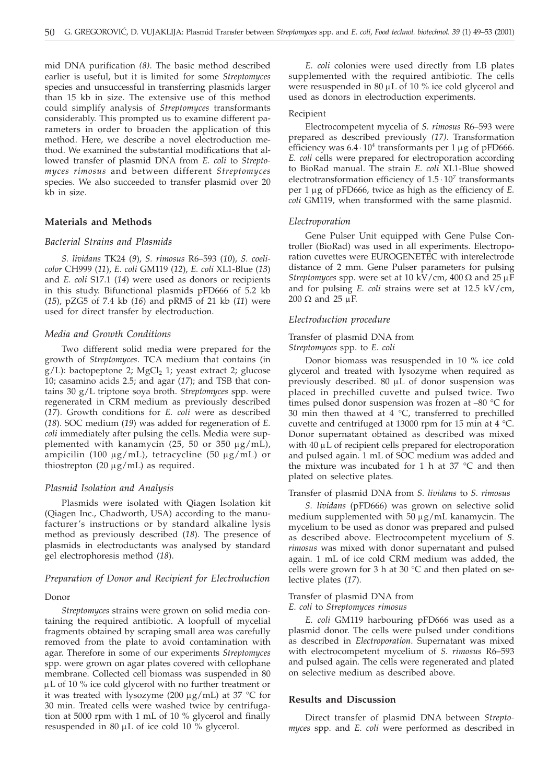mid DNA purification *(8)*. The basic method described earlier is useful, but it is limited for some *Streptomyces* species and unsuccessful in transferring plasmids larger than 15 kb in size. The extensive use of this method could simplify analysis of *Streptomyces* transformants considerably. This prompted us to examine different parameters in order to broaden the application of this method. Here, we describe a novel electroduction method. We examined the substantial modifications that allowed transfer of plasmid DNA from *E. coli* to *Streptomyces rimosus* and between different *Streptomyces* species. We also succeeded to transfer plasmid over 20 kb in size.

### **Materials and Methods**

### *Bacterial Strains and Plasmids*

*S. lividans* TK24 (*9*), *S. rimosus* R6–593 (*10*), *S. coelicolor* CH999 (*11*), *E. coli* GM119 (*12*), *E. coli* XL1-Blue (*13*) and *E. coli* S17.1 (*14*) were used as donors or recipients in this study. Bifunctional plasmids pFD666 of 5.2 kb (*15*), pZG5 of 7.4 kb (*16*) and pRM5 of 21 kb (*11*) were used for direct transfer by electroduction.

### *Media and Growth Conditions*

Two different solid media were prepared for the growth of *Streptomyces*. TCA medium that contains (in  $g/L$ ): bactopeptone 2; MgCl<sub>2</sub> 1; yeast extract 2; glucose 10; casamino acids 2.5; and agar (*17*); and TSB that contains 30 g/L triptone soya broth. *Streptomyces* spp. were regenerated in CRM medium as previously described (*17*). Growth conditions for *E. coli* were as described (*18*). SOC medium (*19*) was added for regeneration of *E. coli* immediately after pulsing the cells. Media were supplemented with kanamycin (25, 50 or 350  $\mu$ g/mL), ampicilin (100  $\mu$ g/mL), tetracycline (50  $\mu$ g/mL) or thiostrepton (20  $\mu$ g/mL) as required.

### *Plasmid Isolation and Analysis*

Plasmids were isolated with Qiagen Isolation kit (Qiagen Inc., Chadworth, USA) according to the manufacturer's instructions or by standard alkaline lysis method as previously described (*18*). The presence of plasmids in electroductants was analysed by standard gel electrophoresis method (*18*).

### *Preparation of Donor and Recipient for Electroduction*

### Donor

*Streptomyces* strains were grown on solid media containing the required antibiotic. A loopfull of mycelial fragments obtained by scraping small area was carefully removed from the plate to avoid contamination with agar. Therefore in some of our experiments *Streptomyces* spp. were grown on agar plates covered with cellophane membrane. Collected cell biomass was suspended in 80 µL of 10 % ice cold glycerol with no further treatment or it was treated with lysozyme (200  $\mu$ g/mL) at 37 °C for 30 min. Treated cells were washed twice by centrifugation at 5000 rpm with 1 mL of 10 % glycerol and finally resuspended in 80  $\mu$ L of ice cold 10 % glycerol.

*E. coli* colonies were used directly from LB plates supplemented with the required antibiotic. The cells were resuspended in 80  $\mu$ L of 10 % ice cold glycerol and used as donors in electroduction experiments.

#### Recipient

Electrocompetent mycelia of *S. rimosus* R6–593 were prepared as described previously *(17)*. Transformation efficiency was  $6.4 \cdot 10^4$  transformants per 1  $\mu$ g of pFD666. *E. coli* cells were prepared for electroporation according to BioRad manual. The strain *E. coli* XL1-Blue showed electrotransformation efficiency of  $1.5 \cdot 10^7$  transformants per 1 g of pFD666, twice as high as the efficiency of *E. coli* GM119, when transformed with the same plasmid.

#### *Electroporation*

Gene Pulser Unit equipped with Gene Pulse Controller (BioRad) was used in all experiments. Electroporation cuvettes were EUROGENETEC with interelectrode distance of 2 mm. Gene Pulser parameters for pulsing *Streptomyces* spp. were set at 10 kV/cm, 400  $\Omega$  and 25  $\mu$ F and for pulsing *E. coli* strains were set at 12.5 kV/cm,  $200 \Omega$  and  $25 \mu F$ .

#### *Electroduction procedure*

### Transfer of plasmid DNA from *Streptomyces* spp. to *E. coli*

Donor biomass was resuspended in 10 % ice cold glycerol and treated with lysozyme when required as previously described. 80  $\mu$ L of donor suspension was placed in prechilled cuvette and pulsed twice. Two times pulsed donor suspension was frozen at –80 °C for 30 min then thawed at 4  $^{\circ}$ C, transferred to prechilled cuvette and centrifuged at 13000 rpm for 15 min at  $4^{\circ}$ C. Donor supernatant obtained as described was mixed with  $40 \mu L$  of recipient cells prepared for electroporation and pulsed again. 1 mL of SOC medium was added and the mixture was incubated for 1 h at 37 °C and then plated on selective plates.

### Transfer of plasmid DNA from *S. lividans* to *S. rimosus*

*S. lividans* (pFD666) was grown on selective solid medium supplemented with  $50 \mu g/mL$  kanamycin. The mycelium to be used as donor was prepared and pulsed as described above. Electrocompetent mycelium of *S. rimosus* was mixed with donor supernatant and pulsed again. 1 mL of ice cold CRM medium was added, the cells were grown for 3 h at 30  $^{\circ}$ C and then plated on selective plates (*17*).

#### Transfer of plasmid DNA from

#### *E. coli* to *Streptomyces rimosus*

*E. coli* GM119 harbouring pFD666 was used as a plasmid donor. The cells were pulsed under conditions as described in *Electroporation*. Supernatant was mixed with electrocompetent mycelium of *S. rimosus* R6–593 and pulsed again. The cells were regenerated and plated on selective medium as described above.

### **Results and Discussion**

Direct transfer of plasmid DNA between *Streptomyces* spp. and *E. coli* were performed as described in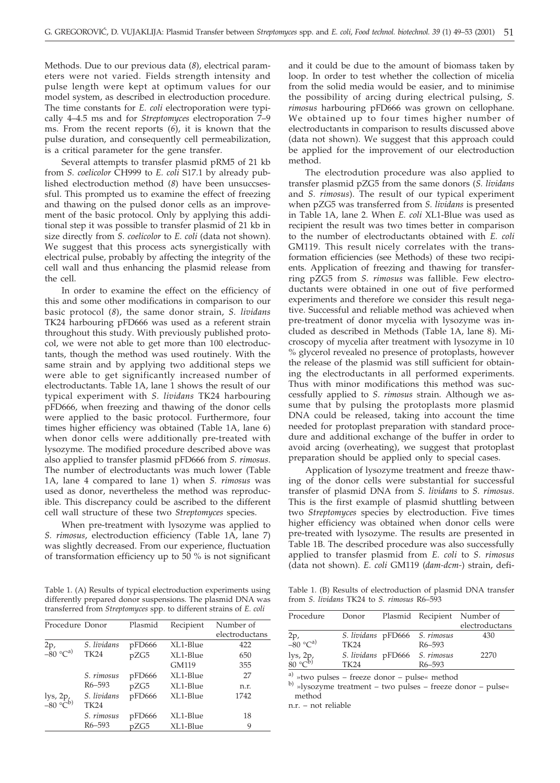Methods. Due to our previous data (*8*), electrical parameters were not varied. Fields strength intensity and pulse length were kept at optimum values for our model system, as described in electroduction procedure. The time constants for *E. coli* electroporation were typically 4–4.5 ms and for *Streptomyces* electroporation 7–9 ms. From the recent reports (*6*), it is known that the pulse duration, and consequently cell permeabilization, is a critical parameter for the gene transfer.

Several attempts to transfer plasmid pRM5 of 21 kb from *S. coelicolor* CH999 to *E. coli* S17.1 by already published electroduction method (*8*) have been unsuccsessful. This prompted us to examine the effect of freezing and thawing on the pulsed donor cells as an improvement of the basic protocol. Only by applying this additional step it was possible to transfer plasmid of 21 kb in size directly from *S. coelicolor* to *E. coli* (data not shown). We suggest that this process acts synergistically with electrical pulse, probably by affecting the integrity of the cell wall and thus enhancing the plasmid release from the cell.

In order to examine the effect on the efficiency of this and some other modifications in comparison to our basic protocol (*8*), the same donor strain, *S. lividans* TK24 harbouring pFD666 was used as a referent strain throughout this study. With previously published protocol, we were not able to get more than 100 electroductants, though the method was used routinely. With the same strain and by applying two additional steps we were able to get significantly increased number of electroductants. Table 1A, lane 1 shows the result of our typical experiment with *S. lividans* TK24 harbouring pFD666, when freezing and thawing of the donor cells were applied to the basic protocol. Furthermore, four times higher efficiency was obtained (Table 1A, lane 6) when donor cells were additionally pre-treated with lysozyme. The modified procedure described above was also applied to transfer plasmid pFD666 from *S. rimosus*. The number of electroductants was much lower (Table 1A, lane 4 compared to lane 1) when *S. rimosus* was used as donor, nevertheless the method was reproducible. This discrepancy could be ascribed to the different cell wall structure of these two *Streptomyces* species.

When pre-treatment with lysozyme was applied to *S. rimosus*, electroduction efficiency (Table 1A, lane 7) was slightly decreased. From our experience, fluctuation of transformation efficiency up to 50 % is not significant

Table 1. (A) Results of typical electroduction experiments using differently prepared donor suspensions. The plasmid DNA was transferred from *Streptomyces* spp. to different strains of *E. coli*

| Procedure Donor                         |                            | Plasmid | Recipient | Number of<br>electroductans |
|-----------------------------------------|----------------------------|---------|-----------|-----------------------------|
| $^{2p}$ , $^{-80}$ °C <sup>a)</sup>     | S. lividans                | pFD666  | XL1-Blue  | 422                         |
|                                         | <b>TK24</b>                | pZG5    | XL1-Blue  | 650                         |
|                                         |                            |         | GM119     | 355                         |
|                                         | S. rimosus                 | pFD666  | XL1-Blue  | 27                          |
|                                         | R6-593                     | pZG5    | XL1-Blue  | n.r.                        |
| lys, 2p, $-80^{\circ}$ C <sup>b</sup> ) | S. lividans<br><b>TK24</b> | pFD666  | XL1-Blue  | 1742                        |
|                                         | S. rimosus                 | pFD666  | XL1-Blue  | 18                          |
|                                         | R6-593                     | pZG5    | XL1-Blue  | 9                           |

and it could be due to the amount of biomass taken by loop. In order to test whether the collection of micelia from the solid media would be easier, and to minimise the possibility of arcing during electrical pulsing, *S. rimosus* harbouring pFD666 was grown on cellophane. We obtained up to four times higher number of electroductants in comparison to results discussed above (data not shown). We suggest that this approach could be applied for the improvement of our electroduction method.

The electrodution procedure was also applied to transfer plasmid pZG5 from the same donors (*S. lividans* and *S. rimosus*). The result of our typical experiment when pZG5 was transferred from *S. lividans* is presented in Table 1A, lane 2. When *E. coli* XL1-Blue was used as recipient the result was two times better in comparison to the number of electroductants obtained with *E. coli* GM119. This result nicely correlates with the transformation efficiencies (see Methods) of these two recipients. Application of freezing and thawing for transferring pZG5 from *S. rimosus* was fallible. Few electroductants were obtained in one out of five performed experiments and therefore we consider this result negative. Successful and reliable method was achieved when pre-treatment of donor mycelia with lysozyme was included as described in Methods (Table 1A, lane 8). Microscopy of mycelia after treatment with lysozyme in 10 % glycerol revealed no presence of protoplasts, however the release of the plasmid was still sufficient for obtaining the electroductants in all performed experiments. Thus with minor modifications this method was successfully applied to *S*. *rimosus* strain. Although we assume that by pulsing the protoplasts more plasmid DNA could be released, taking into account the time needed for protoplast preparation with standard procedure and additional exchange of the buffer in order to avoid arcing (overheating), we suggest that protoplast preparation should be applied only to special cases.

Application of lysozyme treatment and freeze thawing of the donor cells were substantial for successful transfer of plasmid DNA from *S. lividans* to *S. rimosus*. This is the first example of plasmid shuttling between two *Streptomyces* species by electroduction. Five times higher efficiency was obtained when donor cells were pre-treated with lysozyme. The results are presented in Table 1B. The described procedure was also successfully applied to transfer plasmid from *E. coli* to *S. rimosus* (data not shown). *E. coli* GM119 (*dam-dcm-*) strain, defi-

Table 1. (B) Results of electroduction of plasmid DNA transfer from *S. lividans* TK24 to *S. rimosus* R6–593

| Procedure                       | Donor |                               | Plasmid Recipient Number of |
|---------------------------------|-------|-------------------------------|-----------------------------|
|                                 |       |                               | electroductans              |
|                                 |       | S. lividans pFD666 S. rimosus | 430                         |
| 2p,<br>–80 °Cª <sup>)</sup>     | TK24  | R <sub>6</sub> -593           |                             |
| lys, 2p,<br>80 °C <sup>b)</sup> |       | S. lividans pFD666 S. rimosus | 2270                        |
|                                 | TK24  | R <sub>6</sub> -593           |                             |
|                                 |       |                               |                             |

<sup>a)</sup> »two pulses – freeze donor – pulse« method b) »lysozyme treatment – two pulses – freeze donor – pulse« method

n.r. – not reliable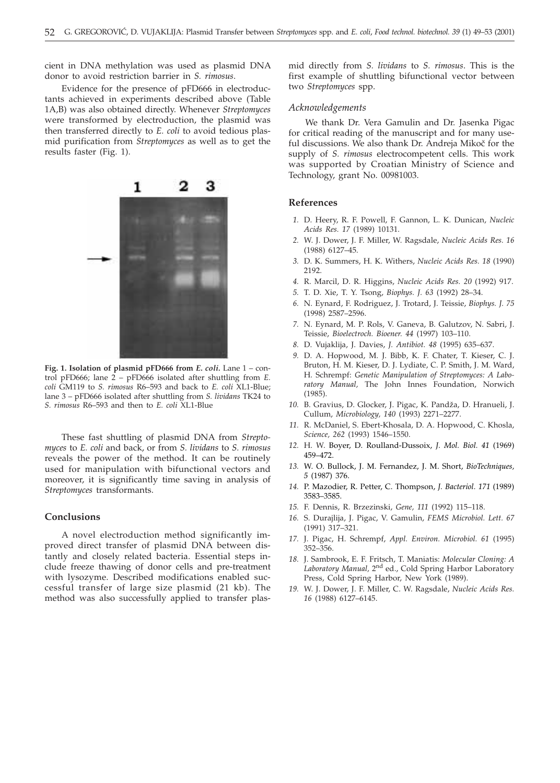cient in DNA methylation was used as plasmid DNA donor to avoid restriction barrier in *S. rimosus*.

### Evidence for the presence of pFD666 in electroductants achieved in experiments described above (Table 1A,B) was also obtained directly. Whenever *Streptomyces* were transformed by electroduction, the plasmid was then transferred directly to *E. coli* to avoid tedious plasmid purification from *Streptomyces* as well as to get the results faster (Fig. 1).



**Fig. 1. Isolation of plasmid pFD666 from** *E. coli.* Lane 1 – control pFD666; lane 2 – pFD666 isolated after shuttling from *E. coli* GM119 to *S. rimosus* R6–593 and back to *E. coli* XL1-Blue; lane 3 – pFD666 isolated after shuttling from *S. lividans* TK24 to *S. rimosus* R6–593 and then to *E. coli* XL1-Blue

These fast shuttling of plasmid DNA from *Streptomyces* to *E. coli* and back, or from *S. lividans* to *S. rimosus* reveals the power of the method. It can be routinely used for manipulation with bifunctional vectors and moreover, it is significantly time saving in analysis of *Streptomyces* transformants.

#### **Conclusions**

A novel electroduction method significantly improved direct transfer of plasmid DNA between distantly and closely related bacteria. Essential steps include freeze thawing of donor cells and pre-treatment with lysozyme. Described modifications enabled successful transfer of large size plasmid (21 kb). The method was also successfully applied to transfer plasmid directly from *S. lividans* to *S. rimosus*. This is the first example of shuttling bifunctional vector between two *Streptomyces* spp.

#### *Acknowledgements*

We thank Dr. Vera Gamulin and Dr. Jasenka Pigac for critical reading of the manuscript and for many useful discussions. We also thank Dr. Andreja Mikoč for the supply of *S. rimosus* electrocompetent cells. This work was supported by Croatian Ministry of Science and Technology, grant No. 00981003.

### **References**

- *1.* D. Heery, R. F. Powell, F. Gannon, L. K. Dunican, *Nucleic Acids Res. 17* (1989) 10131.
- *2.* W. J. Dower, J. F. Miller, W. Ragsdale, *Nucleic Acids Res. 16* (1988) 6127–45.
- *3.* D. K. Summers, H. K. Withers, *Nucleic Acids Res. 18* (1990) 2192.
- *4.* R. Marcil, D. R. Higgins, *Nucleic Acids Res. 20* (1992) 917.
- *5.* T. D. Xie, T. Y. Tsong, *Biophys. J. 63* (1992) 28–34.
- *6.* N. Eynard, F. Rodriguez, J. Trotard, J. Teissie, *Biophys. J. 75* (1998) 2587–2596.
- *7.* N. Eynard, M. P. Rols, V. Ganeva, B. Galutzov, N. Sabri, J. Teissie, *Bioelectroch. Bioener. 44* (1997) 103–110.
- *8.* D. Vujaklija, J. Davies, *J. Antibiot. 48* (1995) 635–637.
- *9.* D. A. Hopwood, M. J. Bibb, K. F. Chater, T. Kieser, C. J. Bruton, H. M. Kieser, D. J. Lydiate, C. P. Smith, J. M. Ward, H. Schrempf: *Genetic Manipulation of Streptomyces: A Laboratory Manual,* The John Innes Foundation, Norwich (1985).
- 10. B. Gravius, D. Glocker, J. Pigac, K. Pandža, D. Hranueli, J. Cullum, *Microbiology, 140* (1993) 2271–2277.
- *11.* R. McDaniel, S. Ebert-Khosala, D. A. Hopwood, C. Khosla, *Science, 262* (1993) 1546–1550.
- *12.* H. W. Boyer, D. Roulland-Dussoix, *J. Mol. Biol. 41* (1969) 459–472.
- *13.* W. O. Bullock, J. M. Fernandez, J. M. Short, *BioTechniques, 5* (1987) 376.
- *14.* P. Mazodier, R. Petter, C. Thompson, *J. Bacteriol. 171* (1989) 3583–3585.
- *15.* F. Dennis, R. Brzezinski, *Gene, 111* (1992) 115–118.
- *16.* S. Durajlija, J. Pigac, V. Gamulin, *FEMS Microbiol. Lett. 67* (1991) 317–321.
- *17.* J. Pigac, H. Schrempf, *Appl. Environ. Microbiol. 61* (1995) 352–356.
- *18.* J. Sambrook, E. F. Fritsch, T. Maniatis: *Molecular Cloning: A Laboratory Manual,* 2nd ed., Cold Spring Harbor Laboratory Press, Cold Spring Harbor, New York (1989).
- *19.* W. J. Dower, J. F. Miller, C. W. Ragsdale, *Nucleic Acids Res. 16* (1988) 6127–6145.